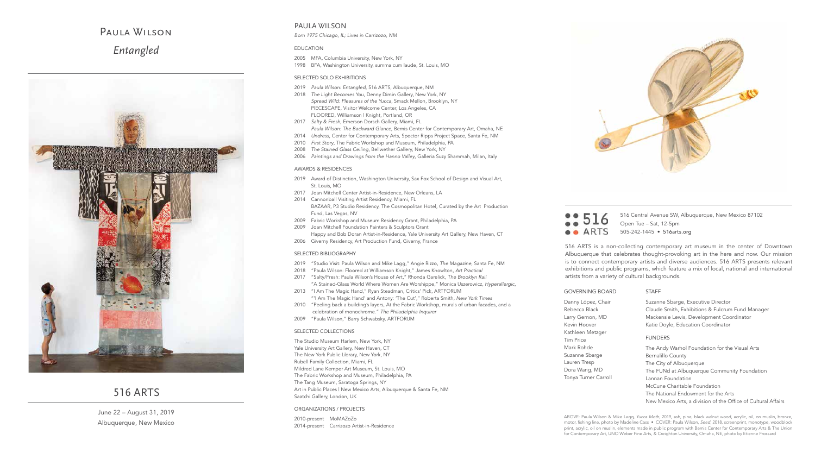# Paula Wilson *Entangled*



### 516 ARTS

June 22 – August 31, 2019 Albuquerque, New Mexico

516 516 Central Avenue SW, Albuquerque, New Mexico 87102 Open Tue – Sat, 12-5pm **•• ARTS** 505-242-1445 • 516arts.org

516 ARTS is a non-collecting contemporary art museum in the center of Downtown Albuquerque that celebrates thought-provoking art in the here and now. Our mission is to connect contemporary artists and diverse audiences. 516 ARTS presents relevant exhibitions and public programs, which feature a mix of local, national and international artists from a variety of cultural backgrounds.

| <b>STAFF</b>                                                        |
|---------------------------------------------------------------------|
| Suzanne Sbarge, Executive Director                                  |
| Claude Smith, Exhibitions & Fulcrum Fund Manager                    |
| Mackensie Lewis, Development Coordinator                            |
| Katie Doyle, Education Coordinator                                  |
|                                                                     |
| <b>FUNDERS</b>                                                      |
| The Andy Warhol Foundation for the Visual Arts                      |
| <b>Bernalillo County</b>                                            |
| The City of Albuquerque                                             |
| The FUNd at Albuquerque Community Foundation                        |
| Lannan Foundation                                                   |
| McCune Charitable Foundation<br>The National Endowment for the Arts |
|                                                                     |

New Mexico Arts, a division of the Office of Cultural Affairs

ABOVE: Paula Wilson & Mike Lagg, *Yucca Moth*, 2019, ash, pine, black walnut wood, acrylic, oil, on muslin, bronze, motor, fishing line, photo by Madeline Cass • COVER: Paula Wilson, *Seed*, 2018, screenprint, monotype, woodblock print, acrylic, oil on muslin, elements made in public program with Bemis Center for Contemporary Arts & The Union for Contemporary Art, UNO Weber Fine Arts, & Creighton University, Omaha, NE, photo by Etienne Frossard

### PAULA WILSON

*Born 1975 Chicago, IL; Lives in Carrizozo, NM*

#### EDUCATION

- 2005 MFA, Columbia University, New York, NY
- 1998 BFA, Washington University, summa cum laude, St. Louis, MO

#### SELECTED SOLO EXHIBITIONS

- 2019 *Paula Wilson: Entangled*, 516 ARTS, Albuquerque, NM
- 2018 *The Light Becomes You*, Denny Dimin Gallery, New York, NY *Spread Wild: Pleasures of the Yucca*, Smack Mellon, Brooklyn, NY PIECESCAPE, Visitor Welcome Center, Los Angeles, CA FLOORED, Williamson | Knight, Portland, OR
- 2017 *Salty & Fresh*, Emerson Dorsch Gallery, Miami, FL *Paula Wilson: The Backward Glance*, Bemis Center for Contemporary Art, Omaha, NE
- 2014 *Undress*, Center for Contemporary Arts, Spector Ripps Project Space, Santa Fe, NM
- 2010 *First Story*, The Fabric Workshop and Museum, Philadelphia, PA
- 2008 *The Stained Glass Ceiling*, Bellwether Gallery, New York, NY
- 2006 *Paintings and Drawings from the Hanno Valley*, Galleria Suzy Shammah, Milan, Italy

#### AWARDS & RESIDENCES

- 2019 Award of Distinction, Washington University, Sax Fox School of Design and Visual Art, St. Louis, MO
- 2017 Joan Mitchell Center Artist-in-Residence, New Orleans, LA
- 2014 Cannonball Visiting Artist Residency, Miami, FL BAZAAR, P3 Studio Residency, The Cosmopolitan Hotel, Curated by the Art Production Fund, Las Vegas, NV
- 2009 Fabric Workshop and Museum Residency Grant, Philadelphia, PA
- 2009 Joan Mitchell Foundation Painters & Sculptors Grant Happy and Bob Doran Artist-in-Residence, Yale University Art Gallery, New Haven, CT
- 2006 Giverny Residency, Art Production Fund, Giverny, France

#### SELECTED BIBLIOGRAPHY

- 2019 "Studio Visit: Paula Wilson and Mike Lagg," Angie Rizzo, *The Magazine*, Santa Fe, NM
- 2018 "Paula Wilson: Floored at Williamson Knight," James Knowlton, *Art Practical*
- 2017 "Salty/Fresh: Paula Wilson's House of Art," Rhonda Garelick, *The Brooklyn Rail* "A Stained-Glass World Where Women Are Worshippe," Monica Uszerowicz, *Hyperallergic*,
- 2013 "I Am The Magic Hand," Ryan Steadman, Critics' Pick, ARTFORUM "'I Am The Magic Hand' and Antony: 'The Cut'," Roberta Smith, *New York Times*
- 2010 "Peeling back a building's layers, At the Fabric Workshop, murals of urban facades, and a celebration of monochrome." *The Philadelphia Inquirer*
- 2009 "Paula Wilson," Barry Schwabsky, ARTFORUM

#### SELECTED COLLECTIONS

The Studio Museum Harlem, New York, NY Yale University Art Gallery, New Haven, CT The New York Public Library, New York, NY Rubell Family Collection, Miami, FL Mildred Lane Kemper Art Museum, St. Louis, MO The Fabric Workshop and Museum, Philadelphia, PA The Tang Museum, Saratoga Springs, NY Art in Public Places | New Mexico Arts, Albuquerque & Santa Fe, NM Saatchi Gallery, London, UK

#### ORGANIZATIONS / PROJECTS

2010-present MoMAZoZo 2014-present Carrizozo Artist-in-Residence